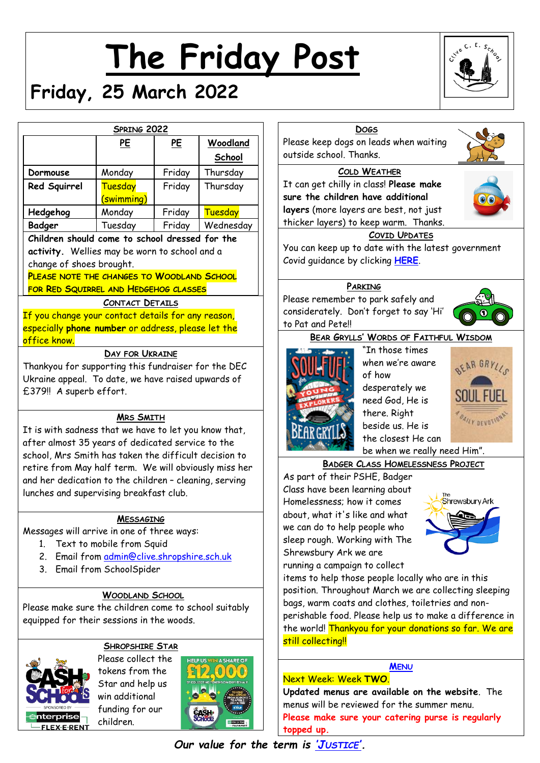# **The Friday Post**



# **Friday, 25 March 2022**

|                                                                                                                                                                                                                                                                                                                                   | SPRING 2022                                                                                                          |           |           |                          |
|-----------------------------------------------------------------------------------------------------------------------------------------------------------------------------------------------------------------------------------------------------------------------------------------------------------------------------------|----------------------------------------------------------------------------------------------------------------------|-----------|-----------|--------------------------|
|                                                                                                                                                                                                                                                                                                                                   | PE                                                                                                                   | <u>PE</u> | Woodland  | Pler                     |
|                                                                                                                                                                                                                                                                                                                                   |                                                                                                                      |           | School    | out                      |
| Dormouse                                                                                                                                                                                                                                                                                                                          | Monday                                                                                                               | Friday    | Thursday  |                          |
| Red Squirrel                                                                                                                                                                                                                                                                                                                      | <b>Tuesday</b><br>(swimming)                                                                                         | Friday    | Thursday  | It of<br>sur             |
| Hedgehog                                                                                                                                                                                                                                                                                                                          | Monday                                                                                                               | Friday    | Tuesday   | lay                      |
| Badger<br>Children should come to school dressed for the                                                                                                                                                                                                                                                                          | Tuesday                                                                                                              | Friday    | Wednesday | thio                     |
| activity. Wellies may be worn to school and a<br>change of shoes brought.<br>PLEASE NOTE THE CHANGES TO WOODLAND SCHOOL<br>FOR RED SQUIRREL AND HEDGEHOG CLASSES                                                                                                                                                                  | <b>CONTACT DETAILS</b>                                                                                               |           |           | Уοι<br>Cov<br>Pleo       |
| If you change your contact details for any reason,<br>especially phone number or address, please let the<br>office know.                                                                                                                                                                                                          |                                                                                                                      |           |           | con<br>to l              |
| Ukraine appeal. To date, we have raised upwards of<br>£379!! A superb effort.                                                                                                                                                                                                                                                     |                                                                                                                      |           |           |                          |
| It is with sadness that we have to let you know that,<br>after almost 35 years of dedicated service to the<br>school, Mrs Smith has taken the difficult decision to<br>retire from May half term. We will obviously miss her<br>and her dedication to the children - cleaning, serving<br>lunches and supervising breakfast club. | <b>MRS SMITH</b>                                                                                                     |           |           | As<br>Cla<br>Hor         |
| Messages will arrive in one of three ways:<br>1 <sub>1</sub><br>2.<br>3.                                                                                                                                                                                                                                                          | <b>MESSAGING</b><br>Text to mobile from Squid<br>Email from admin@clive.shropshire.sch.uk<br>Email from SchoolSpider |           |           | abo<br>slee<br>run       |
| Please make sure the children come to school suitably<br>equipped for their sessions in the woods.                                                                                                                                                                                                                                | <b>WOODLAND SCHOOL</b>                                                                                               |           |           | pos<br>bag<br>per<br>the |



# **SHROPSHIRE STAR**

Please collect the tokens from the Star and help us win additional funding for our children.





**Updated menus are available on the website**. The menus will be reviewed for the summer menu. **Please make sure your catering purse is regularly topped up.**

# *Our value for the term is 'J[USTICE](http://www.clivecofeprimaryschool.co.uk/serve_file/5298783)'.*